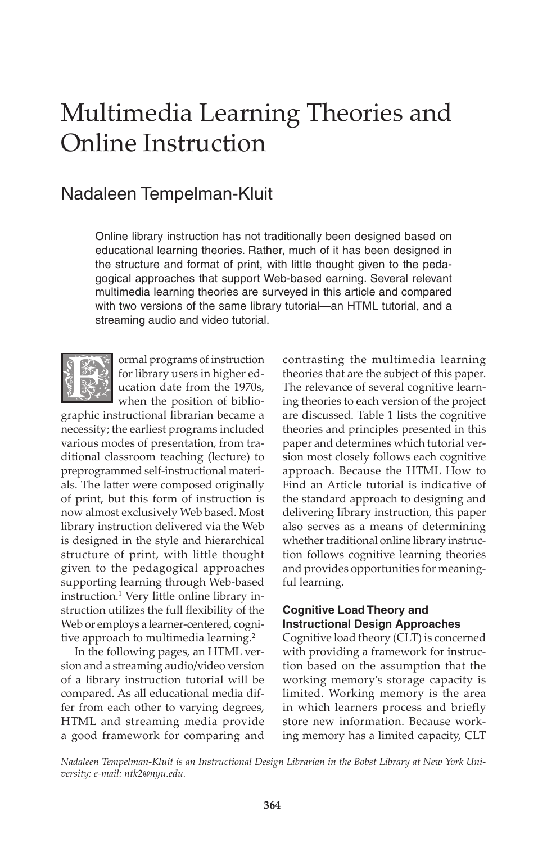# Multimedia Learning Theories and Online Instruction

# Nadaleen Tempelman-Kluit

Online library instruction has not traditionally been designed based on educational learning theories. Rather, much of it has been designed in the structure and format of print, with little thought given to the pedagogical approaches that support Web-based earning. Several relevant multimedia learning theories are surveyed in this article and compared with two versions of the same library tutorial—an HTML tutorial, and a streaming audio and video tutorial.



 ormal programs of instruction when the position of bibliofor library users in higher education date from the 1970s,

 ditional classroom teaching (lecture) to of print, but this form of instruction is structure of print, with little thought given to the pedagogical approaches Web or employs a learner-centered, cognigraphic instructional librarian became a necessity; the earliest programs included various modes of presentation, from trapreprogrammed self-instructional materials. The latter were composed originally now almost exclusively Web based. Most library instruction delivered via the Web is designed in the style and hierarchical supporting learning through Web-based instruction.<sup>1</sup> Very little online library instruction utilizes the full flexibility of the tive approach to multimedia learning.<sup>2</sup>

 sion and a streaming audio/video version of a library instruction tutorial will be HTML and streaming media provide a good framework for comparing and In the following pages, an HTML vercompared. As all educational media differ from each other to varying degrees,

 contrasting the multimedia learning paper and determines which tutorial ver- approach. Because the HTML How to Find an Article tutorial is indicative of also serves as a means of determining whether traditional online library instruc- tion follows cognitive learning theories theories that are the subject of this paper. The relevance of several cognitive learning theories to each version of the project are discussed. Table 1 lists the cognitive theories and principles presented in this sion most closely follows each cognitive the standard approach to designing and delivering library instruction, this paper and provides opportunities for meaningful learning.

# **Cognitive Load Theory and Instructional Design Approaches**

 Cognitive load theory (CLT) is concerned tion based on the assumption that the working memory's storage capacity is limited. Working memory is the area in which learners process and briefly store new information. Because workwith providing a framework for instrucing memory has a limited capacity, CLT

*Nadaleen Tempelman-Kluit is an Instructional Design Librarian in the Bobst Library at New York University; e-mail: ntk2@nyu.edu.*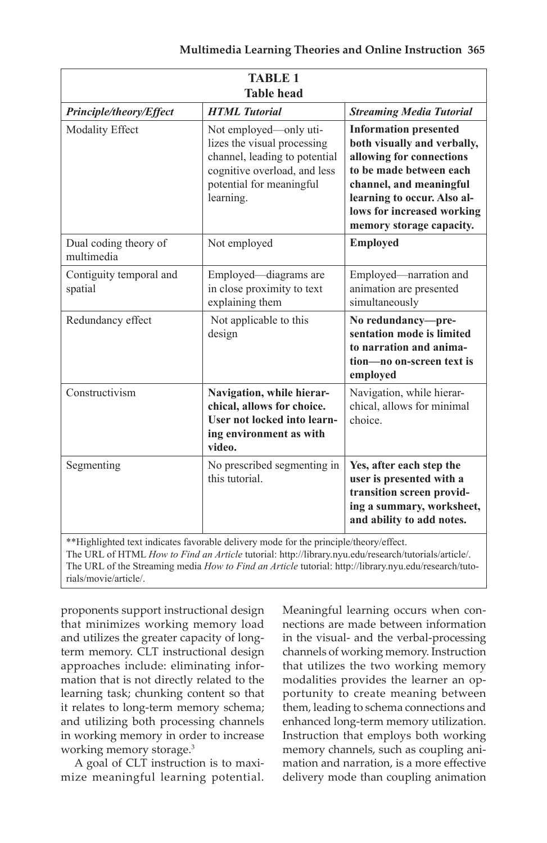| <b>TABLE 1</b><br><b>Table head</b>                                                  |                                                                                                                                                                 |                                                                                                                                                                                                                                        |
|--------------------------------------------------------------------------------------|-----------------------------------------------------------------------------------------------------------------------------------------------------------------|----------------------------------------------------------------------------------------------------------------------------------------------------------------------------------------------------------------------------------------|
| Principle/theory/Effect                                                              | <b>HTML</b> Tutorial                                                                                                                                            | <b>Streaming Media Tutorial</b>                                                                                                                                                                                                        |
| Modality Effect                                                                      | Not employed—only uti-<br>lizes the visual processing<br>channel, leading to potential<br>cognitive overload, and less<br>potential for meaningful<br>learning. | <b>Information presented</b><br>both visually and verbally,<br>allowing for connections<br>to be made between each<br>channel, and meaningful<br>learning to occur. Also al-<br>lows for increased working<br>memory storage capacity. |
| Dual coding theory of<br>multimedia                                                  | Not employed                                                                                                                                                    | <b>Employed</b>                                                                                                                                                                                                                        |
| Contiguity temporal and<br>spatial                                                   | Employed-diagrams are<br>in close proximity to text<br>explaining them                                                                                          | Employed—narration and<br>animation are presented<br>simultaneously                                                                                                                                                                    |
| Redundancy effect                                                                    | Not applicable to this<br>design                                                                                                                                | No redundancy-pre-<br>sentation mode is limited<br>to narration and anima-<br>tion-no on-screen text is<br>employed                                                                                                                    |
| Constructivism                                                                       | Navigation, while hierar-<br>chical, allows for choice.<br>User not locked into learn-<br>ing environment as with<br>video.                                     | Navigation, while hierar-<br>chical, allows for minimal<br>choice.                                                                                                                                                                     |
| Segmenting                                                                           | No prescribed segmenting in<br>this tutorial.                                                                                                                   | Yes, after each step the<br>user is presented with a<br>transition screen provid-<br>ing a summary, worksheet,<br>and ability to add notes.                                                                                            |
| **Highlighted text indicates favorable delivery mode for the principle/theory/effect |                                                                                                                                                                 |                                                                                                                                                                                                                                        |

dicates favorable delivery mode for the principle/theory/effect. The URL of HTML *How to Find an Article* tutorial: http://library.nyu.edu/research/tutorials/article/. The URL of the Streaming media *How to Find an Article* tutorial: http://library.nyu.edu/research/tutorials/movie/article/.

 that minimizes working memory load approaches include: eliminating infor- learning task; chunking content so that and utilizing both processing channels proponents support instructional design and utilizes the greater capacity of longterm memory. CLT instructional design mation that is not directly related to the it relates to long-term memory schema; in working memory in order to increase working memory storage.<sup>3</sup>

 mize meaningful learning potential. A goal of CLT instruction is to maxi-

 Meaningful learning occurs when con- channels of working memory. Instruction that utilizes the two working memory modalities provides the learner an op- portunity to create meaning between them, leading to schema connections and Instruction that employs both working nections are made between information in the visual- and the verbal-processing enhanced long-term memory utilization. memory channels, such as coupling animation and narration, is a more effective delivery mode than coupling animation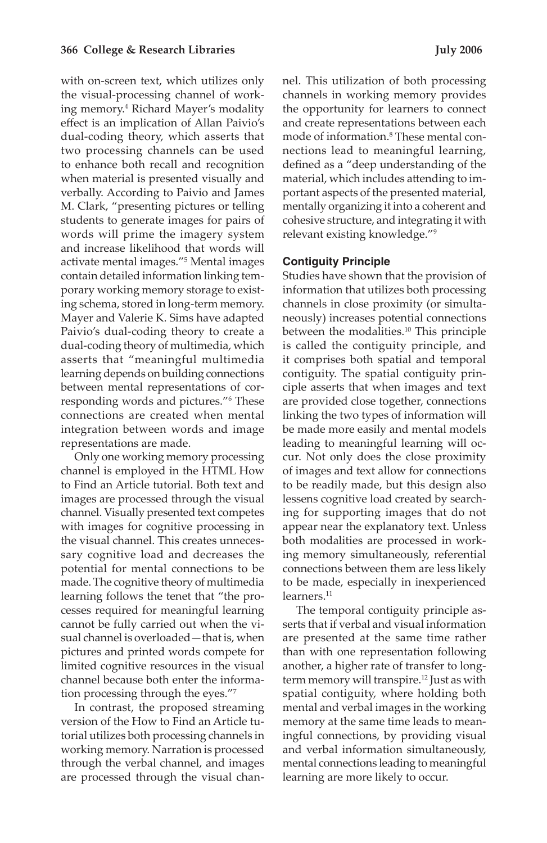the visual-processing channel of work- dual-coding theory, which asserts that two processing channels can be used to enhance both recall and recognition words will prime the imagery system contain detailed information linking tem- Paivio's dual-coding theory to create a dual-coding theory of multimedia, which asserts that "meaningful multimedia learning depends on building connections between mental representations of cor- connections are created when mental integration between words and image with on-screen text, which utilizes only ing memory.4 Richard Mayer's modality effect is an implication of Allan Paivio's when material is presented visually and verbally. According to Paivio and James M. Clark, "presenting pictures or telling students to generate images for pairs of and increase likelihood that words will activate mental images."5 Mental images porary working memory storage to existing schema, stored in long-term memory. Mayer and Valerie K. Sims have adapted responding words and pictures."6 These representations are made.

 Only one working memory processing channel. Visually presented text competes sary cognitive load and decreases the potential for mental connections to be made. The cognitive theory of multimedia sual channel is overloaded—that is, when channel is employed in the HTML How to Find an Article tutorial. Both text and images are processed through the visual with images for cognitive processing in the visual channel. This creates unneceslearning follows the tenet that "the processes required for meaningful learning cannot be fully carried out when the vipictures and printed words compete for limited cognitive resources in the visual channel because both enter the information processing through the eyes."7

 In contrast, the proposed streaming torial utilizes both processing channels in are processed through the visual chanversion of the How to Find an Article tuworking memory. Narration is processed through the verbal channel, and images

 nel. This utilization of both processing channels in working memory provides the opportunity for learners to connect nections lead to meaningful learning, material, which includes attending to im- portant aspects of the presented material, mentally organizing it into a coherent and cohesive structure, and integrating it with and create representations between each mode of information.8 These mental condefined as a "deep understanding of the relevant existing knowledge."9

#### **Contiguity Principle**

 is called the contiguity principle, and it comprises both spatial and temporal contiguity. The spatial contiguity prin- cur. Not only does the close proximity ing for supporting images that do not both modalities are processed in work- ing memory simultaneously, referential Studies have shown that the provision of information that utilizes both processing channels in close proximity (or simultaneously) increases potential connections between the modalities.<sup>10</sup> This principle ciple asserts that when images and text are provided close together, connections linking the two types of information will be made more easily and mental models leading to meaningful learning will ocof images and text allow for connections to be readily made, but this design also lessens cognitive load created by searchappear near the explanatory text. Unless connections between them are less likely to be made, especially in inexperienced learners.<sup>11</sup>

 serts that if verbal and visual information are presented at the same time rather than with one representation following term memory will transpire.12 Just as with spatial contiguity, where holding both and verbal information simultaneously, mental connections leading to meaningful The temporal contiguity principle asanother, a higher rate of transfer to longmental and verbal images in the working memory at the same time leads to meaningful connections, by providing visual learning are more likely to occur.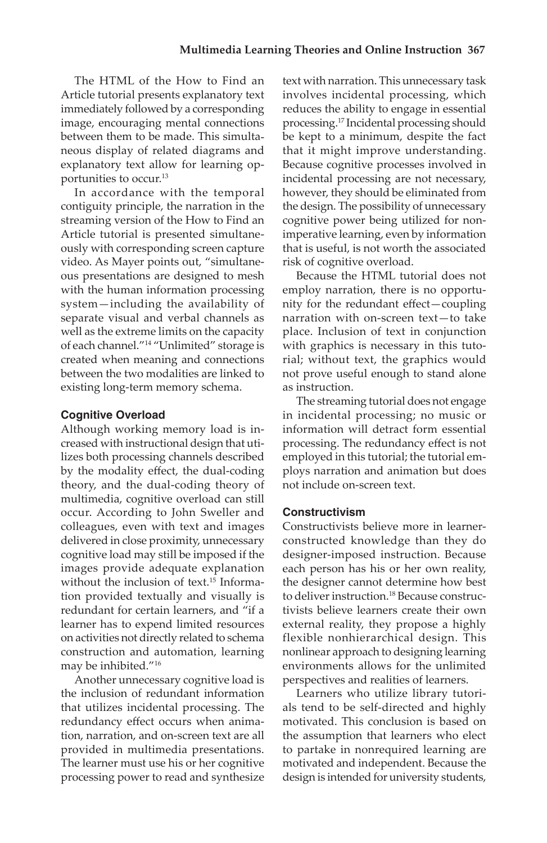The HTML of the How to Find an immediately followed by a corresponding neous display of related diagrams and explanatory text allow for learning op-Article tutorial presents explanatory text image, encouraging mental connections between them to be made. This simultaportunities to occur.<sup>13</sup>

 In accordance with the temporal Article tutorial is presented simultane- system—including the availability of separate visual and verbal channels as of each channel."14 "Unlimited" storage is contiguity principle, the narration in the streaming version of the How to Find an ously with corresponding screen capture video. As Mayer points out, "simultaneous presentations are designed to mesh with the human information processing well as the extreme limits on the capacity created when meaning and connections between the two modalities are linked to existing long-term memory schema.

## **Cognitive Overload**

 Although working memory load is in- creased with instructional design that uti- by the modality effect, the dual-coding theory, and the dual-coding theory of occur. According to John Sweller and colleagues, even with text and images delivered in close proximity, unnecessary images provide adequate explanation tion provided textually and visually is on activities not directly related to schema construction and automation, learning lizes both processing channels described multimedia, cognitive overload can still cognitive load may still be imposed if the without the inclusion of text.<sup>15</sup> Informaredundant for certain learners, and "if a learner has to expend limited resources may be inhibited."16

 the inclusion of redundant information that utilizes incidental processing. The redundancy effect occurs when anima- provided in multimedia presentations. Another unnecessary cognitive load is tion, narration, and on-screen text are all The learner must use his or her cognitive processing power to read and synthesize

 text with narration. This unnecessary task involves incidental processing, which processing.17 Incidental processing should that it might improve understanding. however, they should be eliminated from the design. The possibility of unnecessary imperative learning, even by information reduces the ability to engage in essential be kept to a minimum, despite the fact Because cognitive processes involved in incidental processing are not necessary, cognitive power being utilized for nonthat is useful, is not worth the associated risk of cognitive overload.

 Because the HTML tutorial does not employ narration, there is no opportu- narration with on-screen text—to take place. Inclusion of text in conjunction with graphics is necessary in this tuto- rial; without text, the graphics would nity for the redundant effect—coupling not prove useful enough to stand alone as instruction.

 The streaming tutorial does not engage in incidental processing; no music or information will detract form essential employed in this tutorial; the tutorial emprocessing. The redundancy effect is not ploys narration and animation but does not include on-screen text.

#### **Constructivism**

 constructed knowledge than they do each person has his or her own reality, to deliver instruction.18 Because construc- external reality, they propose a highly flexible nonhierarchical design. This nonlinear approach to designing learning environments allows for the unlimited Constructivists believe more in learnerdesigner-imposed instruction. Because the designer cannot determine how best tivists believe learners create their own perspectives and realities of learners.

 Learners who utilize library tutori- als tend to be self-directed and highly motivated. This conclusion is based on the assumption that learners who elect to partake in nonrequired learning are design is intended for university students, motivated and independent. Because the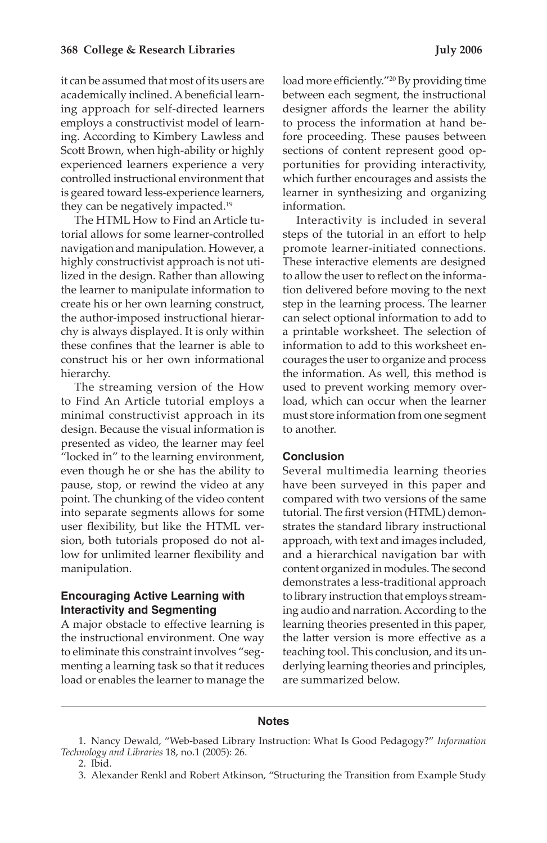it can be assumed that most of its users are ing approach for self-directed learners experienced learners experience a very is geared toward less-experience learners, academically inclined. A beneficial learnemploys a constructivist model of learning. According to Kimbery Lawless and Scott Brown, when high-ability or highly controlled instructional environment that they can be negatively impacted.<sup>19</sup>

 navigation and manipulation. However, a construct his or her own informational The HTML How to Find an Article tutorial allows for some learner-controlled highly constructivist approach is not utilized in the design. Rather than allowing the learner to manipulate information to create his or her own learning construct, the author-imposed instructional hierarchy is always displayed. It is only within these confines that the learner is able to hierarchy.

 The streaming version of the How to Find An Article tutorial employs a minimal constructivist approach in its user flexibility, but like the HTML verdesign. Because the visual information is presented as video, the learner may feel "locked in" to the learning environment, even though he or she has the ability to pause, stop, or rewind the video at any point. The chunking of the video content into separate segments allows for some sion, both tutorials proposed do not allow for unlimited learner flexibility and manipulation.

## **Encouraging Active Learning with Interactivity and Segmenting**

 to eliminate this constraint involves "seg-A major obstacle to effective learning is the instructional environment. One way menting a learning task so that it reduces load or enables the learner to manage the

load more efficiently."<sup>20</sup> By providing time designer affords the learner the ability to process the information at hand be- fore proceeding. These pauses between sections of content represent good op- portunities for providing interactivity, learner in synthesizing and organizing between each segment, the instructional which further encourages and assists the information.

 Interactivity is included in several to allow the user to reflect on the informa- a printable worksheet. The selection of courages the user to organize and process must store information from one segment steps of the tutorial in an effort to help promote learner-initiated connections. These interactive elements are designed tion delivered before moving to the next step in the learning process. The learner can select optional information to add to information to add to this worksheet enthe information. As well, this method is used to prevent working memory overload, which can occur when the learner to another.

# **Conclusion**

 Several multimedia learning theories have been surveyed in this paper and tutorial. The first version (HTML) demon- approach, with text and images included, and a hierarchical navigation bar with content organized in modules. The second to library instruction that employs stream- ing audio and narration. According to the the latter version is more effective as a teaching tool. This conclusion, and its un- derlying learning theories and principles, compared with two versions of the same strates the standard library instructional demonstrates a less-traditional approach learning theories presented in this paper, are summarized below.

#### **Notes**

<sup>1.</sup> Nancy Dewald, "Web-based Library Instruction: What Is Good Pedagogy?" *Information Technology and Libraries* 18, no.1 (2005): 26.

<sup>2.</sup> Ibid.

<sup>3.</sup> Alexander Renkl and Robert Atkinson, "Structuring the Transition from Example Study